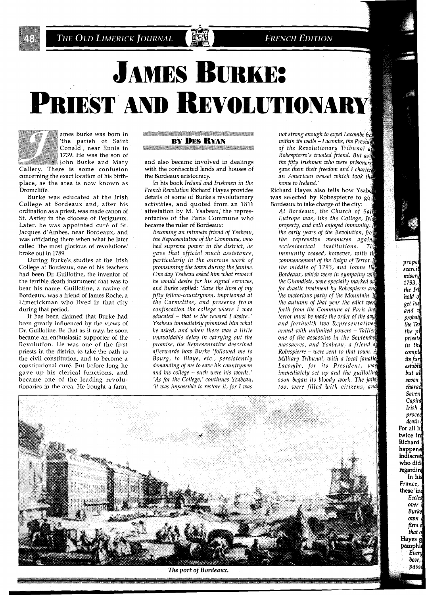THE OLD LIMERICK JOURNAL

#### **FRENCH EDITION**

# **JAMES BURKE:** PRIEST AND REVOLUTIONARY



ames Burke was born in<br>'the parish of Saint<br>Conald', near Ennis in \* 1739. He was the son of **increased** John Burke and Mary

Callery. There is some confusion concerning the exact location of his birthplace, as the area is now known as Dromcliffe.

Burke was educated at the Irish College at Bordeaux and, after his ordination as a priest, was made canon of St. Astier in the diocese of Perigueux. Later, he was appointed curé of St. Jacques d'Ambes, near Bordeaux, and was officiating there when what he later called 'the most glorious of revolutions' broke out in 1789.

During Burke's studies at the Irish College at Bordeaux, one of his teachers had been Dr. Guillotine, the inventor of the terrible death instrument that was to bear his name. Guillotine, a native of Bordeaux, was a friend of James Roche, a Limerickman who lived in that city during that period.

It has been claimed that Burke had been greatly influenced by the views of Dr. Guillotine. Be that as it may, he soon became an enthusiastic supporter of the Revolution. He was one of the first priests in the district to take the oath to the civil constitution, and to become a constitutional cure. But before long he gave up his clerical functions, and became one of the leading revolutionaries in the area. He bought a farm,

*BERTARD MARKET MARKET MARKET AND ARTISTS AND RESIDENT AND RESIDENT AND RESIDENT AND RESIDENT AND RESIDENT AND R* **BY DES RYAN** 

and also became involved in dealings with the confiscated lands and houses of the Bordeaux aristocracy.

In his book *Ireland and Irishmen in the French Revolution* Richard Hayes provides details of some of Burke's revolutionary activities, and quoted from an 1811 attestation by M. Ysabeau, the representative of the Paris Commune who became the ruler of Bordeaux:

*Becoming an intimate friend of Ysabeau, the Representative of the Commune, who had supreme power in the district, he gave that official much assistance, particularly in the onerous work of provisioning the town during the famine. One day Ysabeau asked him what reward he would desire for his signal services, and Burke replied: 'Save the lives of my fifty fellow-countrymen, imprisoned at the Carmelites, and preserve fro m confiscation the college where I was educated* - *that is the reward I desire.' Ysabem immediately promised him what he asked, and when there was a little unavoidable delay in carrying out the promise, the Representative described afterwards how Burke 'followed me to Bourg, to Blaye, etc., persistently demanding of me to save his countrymen and his college* - *such were his zoords.' 'As for the College,' continues Ysabeau, 'it zuas impossible to restore it, for I was* 

not strong enough to expel Lacombe fro within its walls - Lacombe, the Presidal of the Revolutionary Tribunal and Robespierre's trusted friend. But as the fifty Irishmen who were prisoners gave them their freedom and I charten an American vessel which took the home to Ireland.'

Richard Hayes also tells how Ysaber was selected by Robespierre to go Bordeaux to take charge of the city:

At Bordeaux, the Church of Sain Eutrope was, like the College, Iris property, and both enjoyed immunity, the early years of the Revolution, from the repressive measures agains *ecclesiastical institutions.* The *immunity ceased, however, with the commencement of the Reign of Terror the middle of 1793, and towns li Bordeaux, which were in sympathy with the Girondists, were specially marked o for drastic treatment by Robespierre and the victoriaus party of the Mountain. the autumn of that year the edict were forth from the Commune at Paris terror must be made the order of the and forthwith two Representatives armed with unlimited powers* - *Ta one of the assassins in the Septembe massacres, and Ysabeau, a friend Robespierre* - *were sent to that town. Military Tribunal, with a local fanatici* Lacombe, for its President, was *immediately set up and the guillotine soon began its bloody work. The* j *too, were filled ioith citizens,* 

prope scarci misery 1793, the Ir hold o get hu and u probab the Tet the pl priests in th comple its fur establi but al seven charad Seven Capita **Irish** procee death i For all hi twice in Richard happene indiscret who did regarding In his France, these 'ind Eccles over **Burke** own firm d that of Hayes g<br>pamphle Every best. pass



The port of Bordeaux.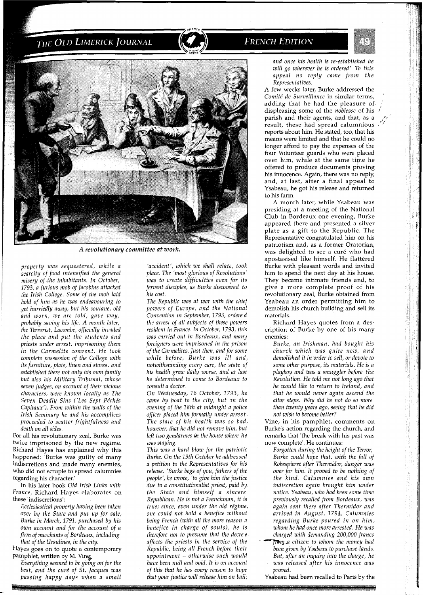# THE OLD LIMERICK JOURNAL

## **FRENCH EDITION**



*A revolutionary committee at work.* 

*property was sequestered, while a scarcity of food intensified the general misery of the inhabitants. In October, 1793, a furious mob of Jacobins attacked the Irish College. Some of the mob laid hold of him as he was endeavouring to get hurriedly away, but his soutane, old and worn, we are told, gave way, probably saving his life. A month later, the Terrorist, Lacombe, officially invaded the place and put the students and priests under arrest, imprisoning them in the Carmelite convent. He took complete possession of the College with its furniture, plate, linen and stores, and established there not only his own family but also his Military Tribunal, whose seven judges, on account of their vicious characters, were known locally as The Seven Deadly Sins ('Les Sept Pe'che's Capitaux'). From within the walls of the Irish Seminary he and his accomplices proceeded to scatter frightfulness and death on all sides.* 

For all his revolutionary zeal, Burke was twice imprisoned by the new regime. Richard Hayes has explained why this happened: 'Burke was guilty of many indiscretions and made many enemies, who did not scruple to spread calumnies regarding his character.'

In his later book *Old Irish Links with France,* Richard Hayes elaborates on these 'indiscretions':

*Ecclesiastical property having been taken over by the State and put up for sale, Burke in March, 1791, purchased by his own account and for the account of a firm of merchants of Bordeaux, including that of the Ursulines, in the city.* 

Hayes goes on to quote a contemporary pamphlet, written by M. Vine:

*Everything seemed to be going on for the best, and the cure' of St. Jacques was passing happy days when a small* 

*'accident', which we shall relate, took place. The 'mos t glorious of Revolutions* ' *was to create difficulties even for its fervent disciples, as Burke discovered to his cost.* 

*The Republic was at war with the chief powers of Europe, and the National Convention in September, 1793, ordered the arrest of all subjects of these powers resident in France. In October, 1793, this was carried out in Bordeaux, and many foreigners were imprisoned in the prison of the Carmelites. Just then, and for some while before, Burke was ill and, notwithstanding every care, the state of his health grew daily worse, and at last he determined to come to Bordeaux to consult a doctor.* 

*On Wednesday, 16 October, 1793, he came by boat to the city, but on the evening of the 18th at midnight a police officer placed him formally under arrest. The state of his health was so bad, however, that he did not remove him, but left two gendarmes in the house where he was staying.* 

*This was a hard blow for the patriotic Burke. On the 19th October he addressed a petition to the Representatives for his release. 'Burke begs of you, fathers of the people', he wrote, 'to give him the justice due to a constitutionalist priest, paid by the State and himself a sincere Republican. He is not a Frenchman, it is true; since, even under the old re'gime, one could not hold a benefice without being French (with all the more reason a benefice in charge of souls), he is therefore not to presume that the decre e affects the priests in the service of the Republic, being all French before their appointment* - *otherwise such would have been null and void. It is on account of this that he has every reason to hope that your justice will release him on bail;*  *and once his health is re-established he will go wherever he is ordered'. To this appeal no reply came from the Representatives.* 

A few weeks later, Burke addressed the *Comite' de Surveillance* in similar terms, ' adding that he had the pleasure of displeasing some of the *noblesse* of his / parish and their agents, and that, as a result, these had spread calumnious  $\cdot$ reports about him. He stated, too, that his means were limited and that he could no longer afford to pay the expenses of the four Volunteer guards who were placed over him, while at the same time he offered to produce documents proving his innocence. Again, there was no reply, and, at last, after a final appeal to Ysabeau, he got his release and returned to his farm.

A month later, while Ysabeau was presiding at a meeting of the National Club in Bordeaux one evening, Burke appeared there and presented a silver plate as a gift to the Republic. The Representative congratulated him on his patriotism and, as a former Oratorian, was delighted to see a curé who had apostasised like himself. He flattered Burke with pleasant words and invited him to spend the next day at his house. They became intimate friends and, to give a more complete proof of his revolutionary zeal, Burke obtained from Ysabeau an order permitting him to demolish his church building and sell its materials.

Richard Hayes quotes from a description of Burke by one of his many enemies:

*Burke, an Irishman, had bought his church which was quite new, and demolished it in order to sell, or devote to some other purpose, its materials. He is a playboy and was a smuggler before the Revolution. He told me not long ago that he would like to return to Ireland, and that he would never again ascend the altar steps. Why did he not do so more than twenty years ago, seeing that he did not wish to become better?* 

Vine, in his pamphlet, comments on Burke's action regarding the church, and remarks that 'the break with his past was now complete'. He continues:

*Forgotten during the height of the Terror, Burke could hope that, with the fall of Robespierre after Thermidor, danger was over for him. It proved to be nothing of the kind. Calumnies and his own indiscretion again brought him under notice. Ysabeau, who had been some time previously recalled from Bordeaux, was again sent there after Thermidor and arrived in August, 1794. Calumnies regarding Burke poured in on him, whom he had once more arrested. He was charged with demanding 200,000 francs IpPsm\_a citizen to whom the money had been given by Ysabeau to purchase lands.* 

*But, after an inquiry into the charge, he was released after his innocence was proved.* 

Ysabeau had been recalled to Paris by the